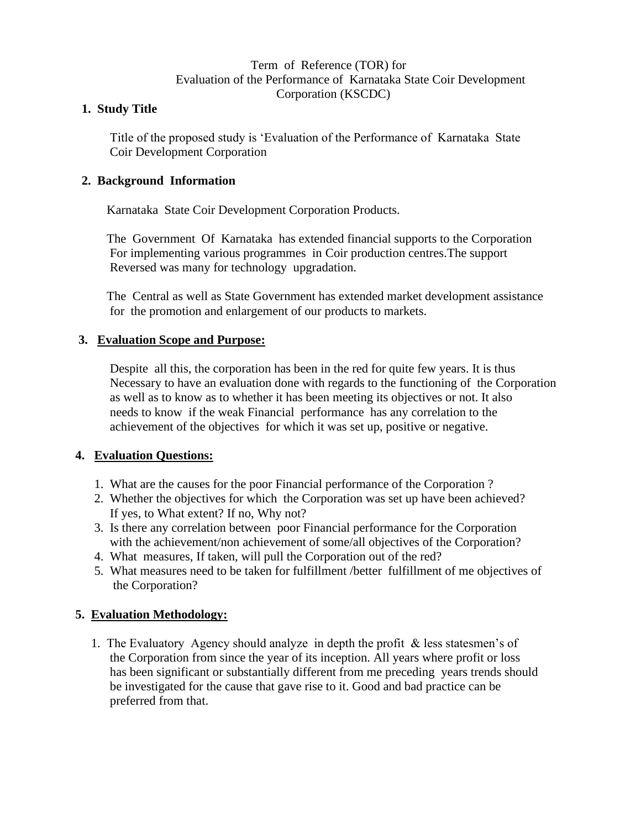## Term of Reference (TOR) for Evaluation of the Performance of Karnataka State Coir Development Corporation (KSCDC)

## **1. Study Title**

 Title of the proposed study is 'Evaluation of the Performance of Karnataka State Coir Development Corporation

## **2. Background Information**

Karnataka State Coir Development Corporation Products.

 The Government Of Karnataka has extended financial supports to the Corporation For implementing various programmes in Coir production centres.The support Reversed was many for technology upgradation.

 The Central as well as State Government has extended market development assistance for the promotion and enlargement of our products to markets.

## **3. Evaluation Scope and Purpose:**

 Despite all this, the corporation has been in the red for quite few years. It is thus Necessary to have an evaluation done with regards to the functioning of the Corporation as well as to know as to whether it has been meeting its objectives or not. It also needs to know if the weak Financial performance has any correlation to the achievement of the objectives for which it was set up, positive or negative.

# **4. Evaluation Questions:**

- 1. What are the causes for the poor Financial performance of the Corporation ?
- 2. Whether the objectives for which the Corporation was set up have been achieved? If yes, to What extent? If no, Why not?
- 3. Is there any correlation between poor Financial performance for the Corporation with the achievement/non achievement of some/all objectives of the Corporation?
- 4. What measures, If taken, will pull the Corporation out of the red?
- 5. What measures need to be taken for fulfillment /better fulfillment of me objectives of the Corporation?

# **5. Evaluation Methodology:**

 1. The Evaluatory Agency should analyze in depth the profit & less statesmen's of the Corporation from since the year of its inception. All years where profit or loss has been significant or substantially different from me preceding years trends should be investigated for the cause that gave rise to it. Good and bad practice can be preferred from that.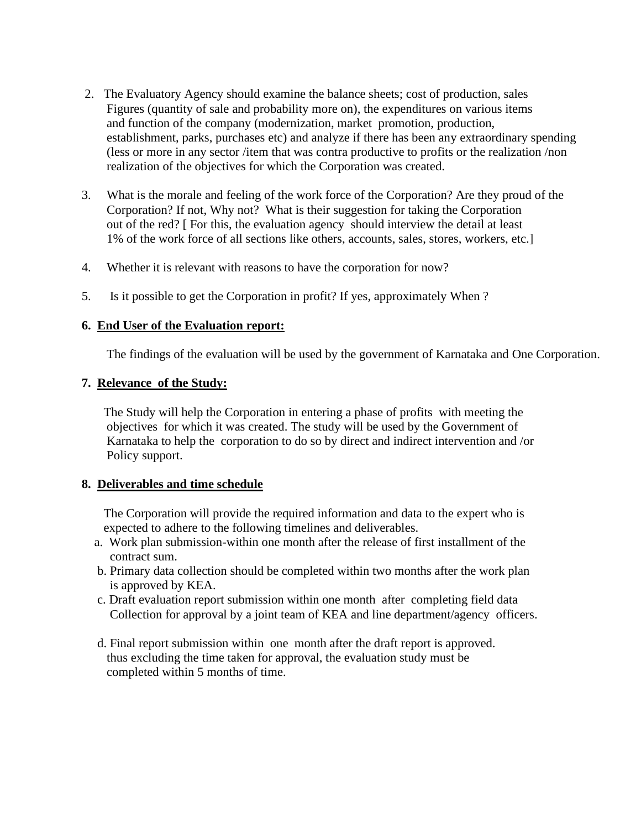- 2. The Evaluatory Agency should examine the balance sheets; cost of production, sales Figures (quantity of sale and probability more on), the expenditures on various items and function of the company (modernization, market promotion, production, establishment, parks, purchases etc) and analyze if there has been any extraordinary spending (less or more in any sector /item that was contra productive to profits or the realization /non realization of the objectives for which the Corporation was created.
- 3. What is the morale and feeling of the work force of the Corporation? Are they proud of the Corporation? If not, Why not? What is their suggestion for taking the Corporation out of the red? [ For this, the evaluation agency should interview the detail at least 1% of the work force of all sections like others, accounts, sales, stores, workers, etc.]
- 4. Whether it is relevant with reasons to have the corporation for now?
- 5. Is it possible to get the Corporation in profit? If yes, approximately When ?

#### **6. End User of the Evaluation report:**

The findings of the evaluation will be used by the government of Karnataka and One Corporation.

#### **7. Relevance of the Study:**

 The Study will help the Corporation in entering a phase of profits with meeting the objectives for which it was created. The study will be used by the Government of Karnataka to help the corporation to do so by direct and indirect intervention and /or Policy support.

#### **8. Deliverables and time schedule**

 The Corporation will provide the required information and data to the expert who is expected to adhere to the following timelines and deliverables.

- a. Work plan submission-within one month after the release of first installment of the contract sum.
- b. Primary data collection should be completed within two months after the work plan is approved by KEA.
- c. Draft evaluation report submission within one month after completing field data Collection for approval by a joint team of KEA and line department/agency officers.
- d. Final report submission within one month after the draft report is approved. thus excluding the time taken for approval, the evaluation study must be completed within 5 months of time.